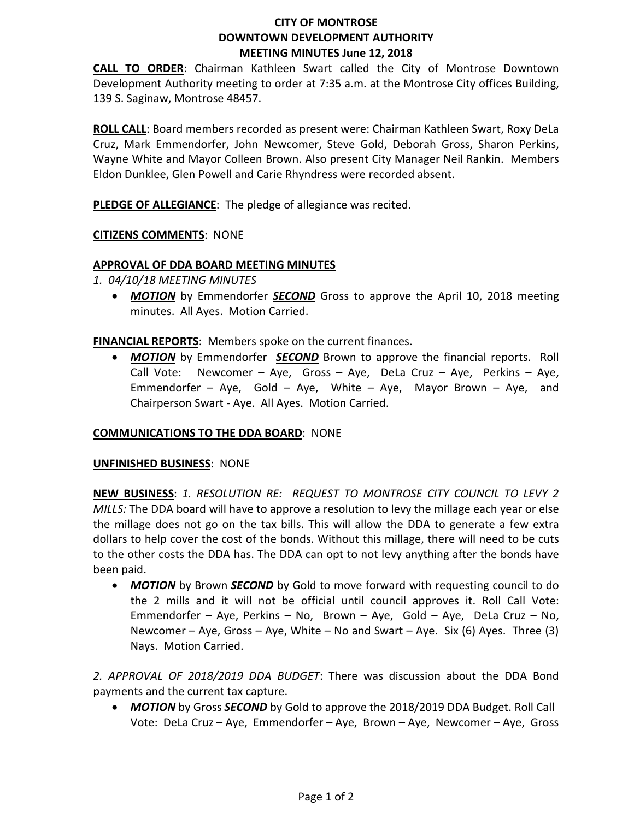# **CITY OF MONTROSE DOWNTOWN DEVELOPMENT AUTHORITY MEETING MINUTES June 12, 2018**

**CALL TO ORDER**: Chairman Kathleen Swart called the City of Montrose Downtown Development Authority meeting to order at 7:35 a.m. at the Montrose City offices Building, 139 S. Saginaw, Montrose 48457.

**ROLL CALL**: Board members recorded as present were: Chairman Kathleen Swart, Roxy DeLa Cruz, Mark Emmendorfer, John Newcomer, Steve Gold, Deborah Gross, Sharon Perkins, Wayne White and Mayor Colleen Brown. Also present City Manager Neil Rankin. Members Eldon Dunklee, Glen Powell and Carie Rhyndress were recorded absent.

**PLEDGE OF ALLEGIANCE:** The pledge of allegiance was recited.

## **CITIZENS COMMENTS**: NONE

### **APPROVAL OF DDA BOARD MEETING MINUTES**

- *1. 04/10/18 MEETING MINUTES*
	- *MOTION* by Emmendorfer *SECOND* Gross to approve the April 10, 2018 meeting minutes. All Ayes. Motion Carried.

**FINANCIAL REPORTS**: Members spoke on the current finances.

• *MOTION* by Emmendorfer *SECOND* Brown to approve the financial reports. Roll Call Vote: Newcomer – Aye, Gross – Aye, DeLa Cruz – Aye, Perkins – Aye, Emmendorfer – Aye, Gold – Aye, White – Aye, Mayor Brown – Aye, and Chairperson Swart - Aye. All Ayes. Motion Carried.

### **COMMUNICATIONS TO THE DDA BOARD**: NONE

### **UNFINISHED BUSINESS**: NONE

**NEW BUSINESS**: *1. RESOLUTION RE: REQUEST TO MONTROSE CITY COUNCIL TO LEVY 2 MILLS:* The DDA board will have to approve a resolution to levy the millage each year or else the millage does not go on the tax bills. This will allow the DDA to generate a few extra dollars to help cover the cost of the bonds. Without this millage, there will need to be cuts to the other costs the DDA has. The DDA can opt to not levy anything after the bonds have been paid.

• *MOTION* by Brown *SECOND* by Gold to move forward with requesting council to do the 2 mills and it will not be official until council approves it. Roll Call Vote: Emmendorfer – Aye, Perkins – No, Brown – Aye, Gold – Aye, DeLa Cruz – No, Newcomer – Aye, Gross – Aye, White – No and Swart – Aye. Six (6) Ayes. Three (3) Nays. Motion Carried.

*2. APPROVAL OF 2018/2019 DDA BUDGET*: There was discussion about the DDA Bond payments and the current tax capture.

• *MOTION* by Gross *SECOND* by Gold to approve the 2018/2019 DDA Budget. Roll Call Vote: DeLa Cruz – Aye, Emmendorfer – Aye, Brown – Aye, Newcomer – Aye, Gross